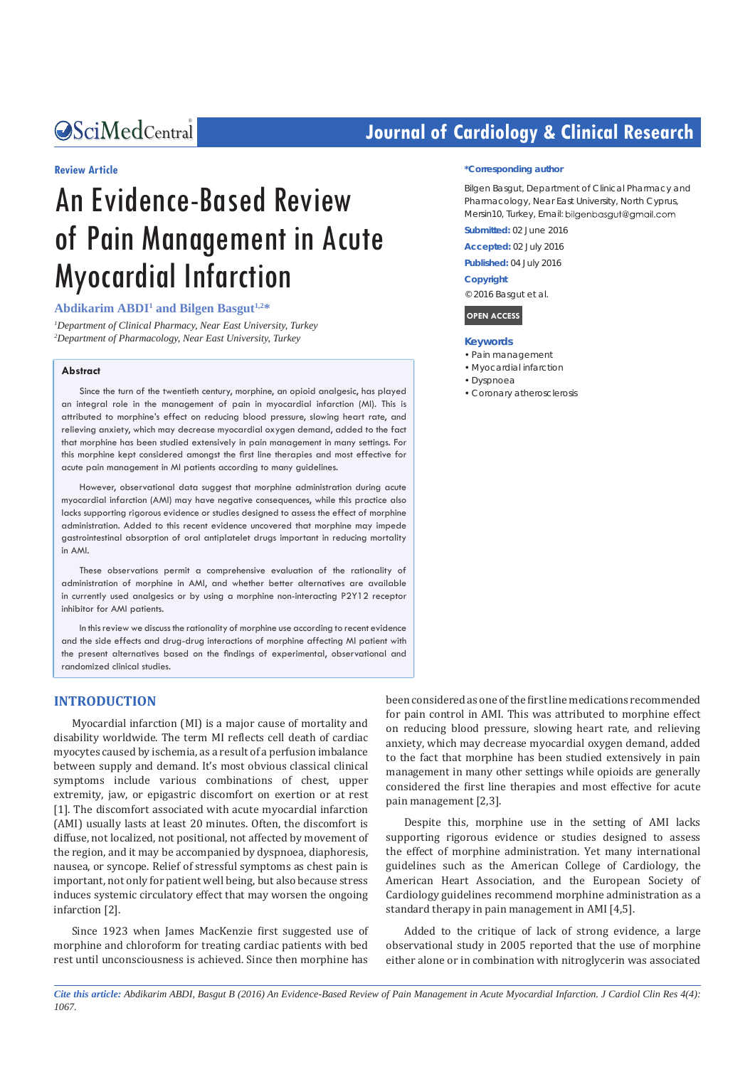*Bringing Excellence in Open Access*

#### **Review Article**

# An Evidence-Based Review of Pain Management in Acute Myocardial Infarction

## **Abdikarim ABDI1 and Bilgen Basgut1,2\***

*1 Department of Clinical Pharmacy, Near East University, Turkey 2 Department of Pharmacology, Near East University, Turkey*

#### **Abstract**

Since the turn of the twentieth century, morphine, an opioid analgesic, has played an integral role in the management of pain in myocardial infarction (MI). This is attributed to morphine's effect on reducing blood pressure, slowing heart rate, and relieving anxiety, which may decrease myocardial oxygen demand, added to the fact that morphine has been studied extensively in pain management in many settings. For this morphine kept considered amongst the first line therapies and most effective for acute pain management in MI patients according to many guidelines.

However, observational data suggest that morphine administration during acute myocardial infarction (AMI) may have negative consequences, while this practice also lacks supporting rigorous evidence or studies designed to assess the effect of morphine administration. Added to this recent evidence uncovered that morphine may impede gastrointestinal absorption of oral antiplatelet drugs important in reducing mortality in AMI.

These observations permit a comprehensive evaluation of the rationality of administration of morphine in AMI, and whether better alternatives are available in currently used analgesics or by using a morphine non-interacting P2Y12 receptor inhibitor for AMI patients.

In this review we discuss the rationality of morphine use according to recent evidence and the side effects and drug-drug interactions of morphine affecting MI patient with the present alternatives based on the findings of experimental, observational and randomized clinical studies.

#### **INTRODUCTION**

Myocardial infarction (MI) is a major cause of mortality and disability worldwide. The term MI reflects cell death of cardiac myocytes caused by ischemia, as a result of a perfusion imbalance between supply and demand. It's most obvious classical clinical symptoms include various combinations of chest, upper extremity, jaw, or epigastric discomfort on exertion or at rest [1]. The discomfort associated with acute myocardial infarction (AMI) usually lasts at least 20 minutes. Often, the discomfort is diffuse, not localized, not positional, not affected by movement of the region, and it may be accompanied by dyspnoea, diaphoresis, nausea, or syncope. Relief of stressful symptoms as chest pain is important, not only for patient well being, but also because stress induces systemic circulatory effect that may worsen the ongoing infarction [2].

Since 1923 when James MacKenzie first suggested use of morphine and chloroform for treating cardiac patients with bed rest until unconsciousness is achieved. Since then morphine has

# **Journal of Cardiology & Clinical Research**

#### **\*Corresponding author**

Bilgen Basgut, Department of Clinical Pharmacy and Pharmacology, Near East University, North Cyprus, Mersin10, Turkey, Email: bilgenbasgut@gmail.com

**Submitted:** 02 June 2016

**Accepted:** 02 July 2016

**Published:** 04 July 2016

#### **Copyright**

© 2016 Basgut et al.

# **OPEN ACCESS**

- **Keywords**
- • Pain management
- • Myocardial infarction
- • Dyspnoea
- • Coronary atherosclerosis

been considered as one of the first line medications recommended for pain control in AMI. This was attributed to morphine effect on reducing blood pressure, slowing heart rate, and relieving anxiety, which may decrease myocardial oxygen demand, added to the fact that morphine has been studied extensively in pain management in many other settings while opioids are generally considered the first line therapies and most effective for acute pain management [2,3].

Despite this, morphine use in the setting of AMI lacks supporting rigorous evidence or studies designed to assess the effect of morphine administration. Yet many international guidelines such as the American College of Cardiology, the American Heart Association, and the European Society of Cardiology guidelines recommend morphine administration as a standard therapy in pain management in AMI [4,5].

Added to the critique of lack of strong evidence, a large observational study in 2005 reported that the use of morphine either alone or in combination with nitroglycerin was associated

*Cite this article: Abdikarim ABDI, Basgut B (2016) An Evidence-Based Review of Pain Management in Acute Myocardial Infarction. J Cardiol Clin Res 4(4): 1067.*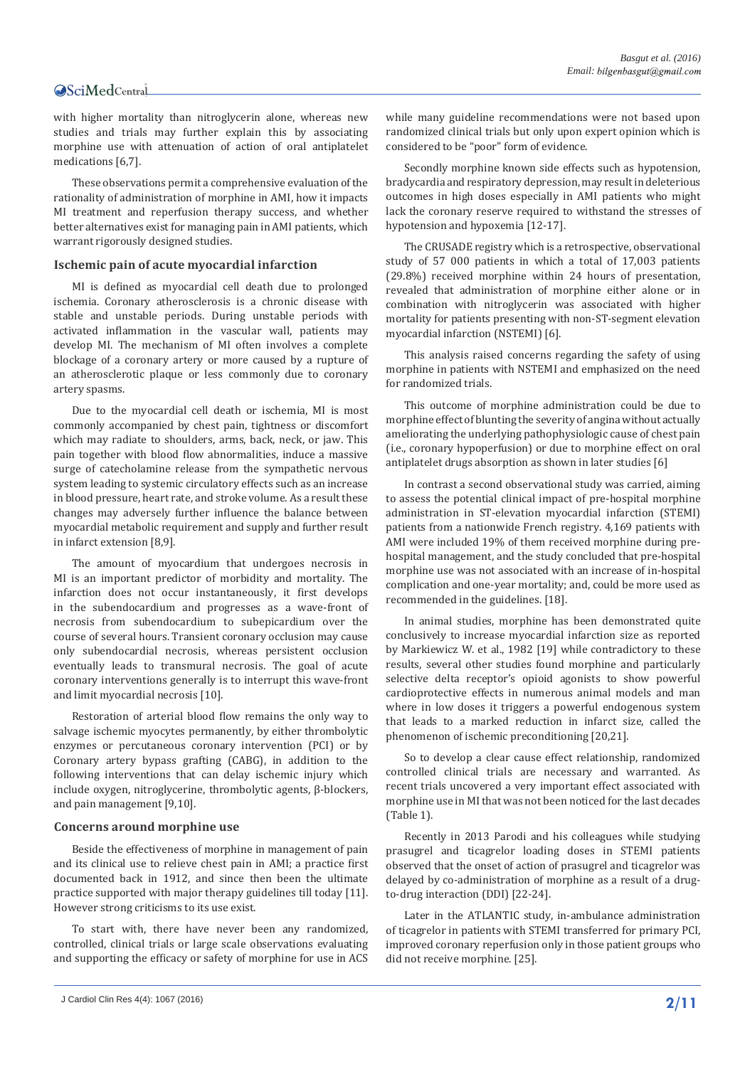with higher mortality than nitroglycerin alone, whereas new studies and trials may further explain this by associating morphine use with attenuation of action of oral antiplatelet medications [6,7].

These observations permit a comprehensive evaluation of the rationality of administration of morphine in AMI, how it impacts MI treatment and reperfusion therapy success, and whether better alternatives exist for managing pain in AMI patients, which warrant rigorously designed studies.

#### **Ischemic pain of acute myocardial infarction**

MI is defined as myocardial cell death due to prolonged ischemia. Coronary atherosclerosis is a chronic disease with stable and unstable periods. During unstable periods with activated inflammation in the vascular wall, patients may develop MI. The mechanism of MI often involves a complete blockage of a coronary artery or more caused by a rupture of an atherosclerotic plaque or less commonly due to coronary artery spasms.

Due to the myocardial cell death or ischemia, MI is most commonly accompanied by chest pain, tightness or discomfort which may radiate to shoulders, arms, back, neck, or jaw. This pain together with blood flow abnormalities, induce a massive surge of catecholamine release from the sympathetic nervous system leading to systemic circulatory effects such as an increase in blood pressure, heart rate, and stroke volume. As a result these changes may adversely further influence the balance between myocardial metabolic requirement and supply and further result in infarct extension [8,9].

The amount of myocardium that undergoes necrosis in MI is an important predictor of morbidity and mortality. The infarction does not occur instantaneously, it first develops in the subendocardium and progresses as a wave-front of necrosis from subendocardium to subepicardium over the course of several hours. Transient coronary occlusion may cause only subendocardial necrosis, whereas persistent occlusion eventually leads to transmural necrosis. The goal of acute coronary interventions generally is to interrupt this wave-front and limit myocardial necrosis [10].

Restoration of arterial blood flow remains the only way to salvage ischemic myocytes permanently, by either thrombolytic enzymes or percutaneous coronary intervention (PCI) or by Coronary artery bypass grafting (CABG), in addition to the following interventions that can delay ischemic injury which include oxygen, nitroglycerine, thrombolytic agents, β-blockers, and pain management [9,10].

#### **Concerns around morphine use**

Beside the effectiveness of morphine in management of pain and its clinical use to relieve chest pain in AMI; a practice first documented back in 1912, and since then been the ultimate practice supported with major therapy guidelines till today [11]. However strong criticisms to its use exist.

To start with, there have never been any randomized, controlled, clinical trials or large scale observations evaluating and supporting the efficacy or safety of morphine for use in ACS

**2/11** J Cardiol Clin Res 4(4): 1067 (2016)

while many guideline recommendations were not based upon randomized clinical trials but only upon expert opinion which is considered to be "poor" form of evidence.

Secondly morphine known side effects such as hypotension, bradycardia and respiratory depression, may result in deleterious outcomes in high doses especially in AMI patients who might lack the coronary reserve required to withstand the stresses of hypotension and hypoxemia [12-17].

The CRUSADE registry which is a retrospective, observational study of 57 000 patients in which a total of 17,003 patients (29.8%) received morphine within 24 hours of presentation, revealed that administration of morphine either alone or in combination with nitroglycerin was associated with higher mortality for patients presenting with non-ST-segment elevation myocardial infarction (NSTEMI) [6].

This analysis raised concerns regarding the safety of using morphine in patients with NSTEMI and emphasized on the need for randomized trials.

This outcome of morphine administration could be due to morphine effect of blunting the severity of angina without actually ameliorating the underlying pathophysiologic cause of chest pain (i.e., coronary hypoperfusion) or due to morphine effect on oral antiplatelet drugs absorption as shown in later studies [6]

In contrast a second observational study was carried, aiming to assess the potential clinical impact of pre-hospital morphine administration in ST-elevation myocardial infarction (STEMI) patients from a nationwide French registry. 4,169 patients with AMI were included 19% of them received morphine during prehospital management, and the study concluded that pre-hospital morphine use was not associated with an increase of in-hospital complication and one-year mortality; and, could be more used as recommended in the guidelines. [18].

In animal studies, morphine has been demonstrated quite conclusively to increase myocardial infarction size as reported by Markiewicz W. et al., 1982 [19] while contradictory to these results, several other studies found morphine and particularly selective delta receptor's opioid agonists to show powerful cardioprotective effects in numerous animal models and man where in low doses it triggers a powerful endogenous system that leads to a marked reduction in infarct size, called the phenomenon of ischemic preconditioning [20,21].

So to develop a clear cause effect relationship, randomized controlled clinical trials are necessary and warranted. As recent trials uncovered a very important effect associated with morphine use in MI that was not been noticed for the last decades (Table 1).

Recently in 2013 Parodi and his colleagues while studying prasugrel and ticagrelor loading doses in STEMI patients observed that the onset of action of prasugrel and ticagrelor was delayed by co-administration of morphine as a result of a drugto-drug interaction (DDI) [22-24].

Later in the ATLANTIC study, in-ambulance administration of ticagrelor in patients with STEMI transferred for primary PCI, improved coronary reperfusion only in those patient groups who did not receive morphine. [25].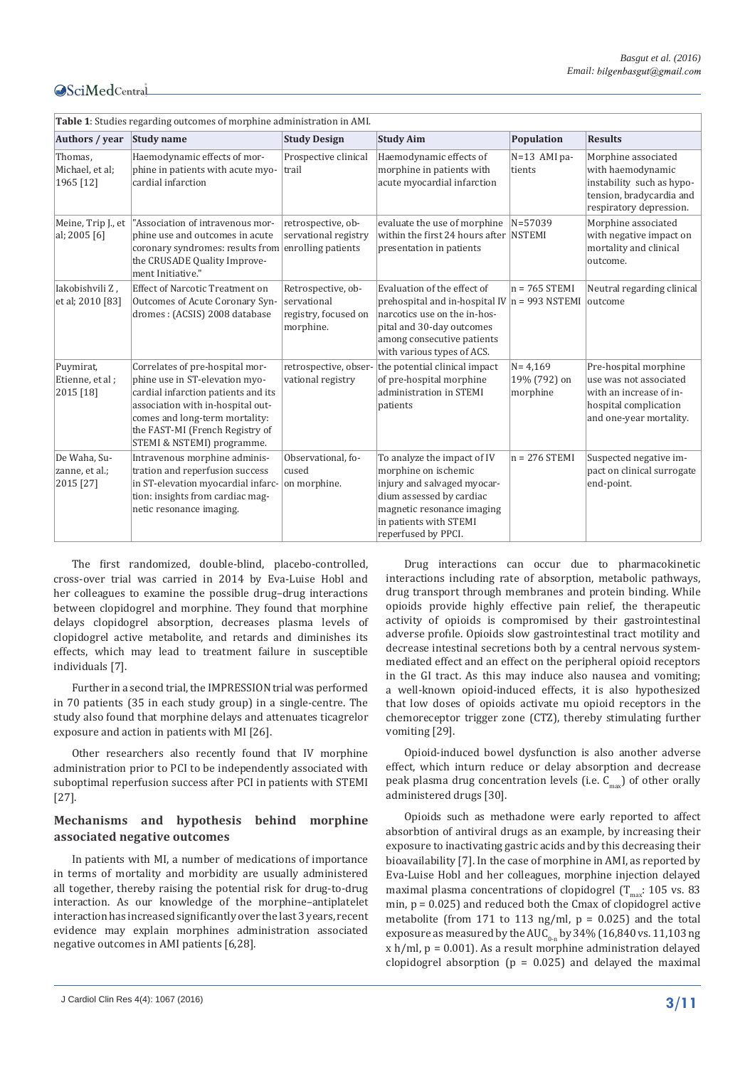| Table 1: Studies regarding outcomes of morphine administration in AMI. |                                                                                                                                                                                                                                                  |                                                                        |                                                                                                                                                                                                         |                                         |                                                                                                                                |  |  |
|------------------------------------------------------------------------|--------------------------------------------------------------------------------------------------------------------------------------------------------------------------------------------------------------------------------------------------|------------------------------------------------------------------------|---------------------------------------------------------------------------------------------------------------------------------------------------------------------------------------------------------|-----------------------------------------|--------------------------------------------------------------------------------------------------------------------------------|--|--|
| Authors / year                                                         | <b>Study name</b>                                                                                                                                                                                                                                | <b>Study Design</b>                                                    | <b>Study Aim</b>                                                                                                                                                                                        | Population                              | <b>Results</b>                                                                                                                 |  |  |
| Thomas.<br>Michael, et al;<br>1965 [12]                                | Haemodynamic effects of mor-<br>phine in patients with acute myo-<br>cardial infarction                                                                                                                                                          | Prospective clinical<br>trail                                          | Haemodynamic effects of<br>morphine in patients with<br>acute myocardial infarction                                                                                                                     | $N=13$ AMI pa-<br>tients                | Morphine associated<br>with haemodynamic<br>instability such as hypo-<br>tension, bradycardia and<br>respiratory depression.   |  |  |
| Meine, Trip J., et<br>al; 2005 [6]                                     | "Association of intravenous mor-<br>phine use and outcomes in acute<br>coronary syndromes: results from enrolling patients<br>the CRUSADE Quality Improve-<br>ment Initiative."                                                                  | retrospective, ob-<br>servational registry                             | evaluate the use of morphine<br>within the first 24 hours after NSTEMI<br>presentation in patients                                                                                                      | N=57039                                 | Morphine associated<br>with negative impact on<br>mortality and clinical<br>outcome.                                           |  |  |
| Iakobishvili Z,<br>et al; 2010 [83]                                    | <b>Effect of Narcotic Treatment on</b><br>Outcomes of Acute Coronary Syn-<br>dromes: (ACSIS) 2008 database                                                                                                                                       | Retrospective, ob-<br>servational<br>registry, focused on<br>morphine. | Evaluation of the effect of<br>prehospital and in-hospital IV $n = 993$ NSTEMI<br>narcotics use on the in-hos-<br>pital and 30-day outcomes<br>among consecutive patients<br>with various types of ACS. | $n = 765$ STEMI                         | Neutral regarding clinical<br>outcome                                                                                          |  |  |
| Puymirat,<br>Etienne, et al;<br>2015 [18]                              | Correlates of pre-hospital mor-<br>phine use in ST-elevation myo-<br>cardial infarction patients and its<br>association with in-hospital out-<br>comes and long-term mortality:<br>the FAST-MI (French Registry of<br>STEMI & NSTEMI) programme. | retrospective, obser-<br>vational registry                             | the potential clinical impact<br>of pre-hospital morphine<br>administration in STEMI<br>patients                                                                                                        | $N = 4,169$<br>19% (792) on<br>morphine | Pre-hospital morphine<br>use was not associated<br>with an increase of in-<br>hospital complication<br>and one-year mortality. |  |  |
| De Waha, Su-<br>zanne, et al.;<br>2015 [27]                            | Intravenous morphine adminis-<br>tration and reperfusion success<br>in ST-elevation myocardial infarc-<br>tion: insights from cardiac mag-<br>netic resonance imaging.                                                                           | Observational, fo-<br>cused<br>on morphine.                            | To analyze the impact of IV<br>morphine on ischemic<br>injury and salvaged myocar-<br>dium assessed by cardiac<br>magnetic resonance imaging<br>in patients with STEMI<br>reperfused by PPCI.           | $n = 276$ STEMI                         | Suspected negative im-<br>pact on clinical surrogate<br>end-point.                                                             |  |  |

The first randomized, double-blind, placebo-controlled, cross-over trial was carried in 2014 by Eva-Luise Hobl and her colleagues to examine the possible drug–drug interactions between clopidogrel and morphine. They found that morphine delays clopidogrel absorption, decreases plasma levels of clopidogrel active metabolite, and retards and diminishes its effects, which may lead to treatment failure in susceptible individuals [7].

Further in a second trial, the IMPRESSION trial was performed in 70 patients (35 in each study group) in a single-centre. The study also found that morphine delays and attenuates ticagrelor exposure and action in patients with MI [26].

Other researchers also recently found that IV morphine administration prior to PCI to be independently associated with suboptimal reperfusion success after PCI in patients with STEMI [27].

### **Mechanisms and hypothesis behind morphine associated negative outcomes**

In patients with MI, a number of medications of importance in terms of mortality and morbidity are usually administered all together, thereby raising the potential risk for drug-to-drug interaction. As our knowledge of the morphine–antiplatelet interaction has increased significantly over the last 3 years, recent evidence may explain morphines administration associated negative outcomes in AMI patients [6,28].

Drug interactions can occur due to pharmacokinetic interactions including rate of absorption, metabolic pathways, drug transport through membranes and protein binding. While opioids provide highly effective pain relief, the therapeutic activity of opioids is compromised by their gastrointestinal adverse profıle. Opioids slow gastrointestinal tract motility and decrease intestinal secretions both by a central nervous systemmediated effect and an effect on the peripheral opioid receptors in the GI tract. As this may induce also nausea and vomiting; a well-known opioid-induced effects, it is also hypothesized that low doses of opioids activate mu opioid receptors in the chemoreceptor trigger zone (CTZ), thereby stimulating further vomiting [29].

Opioid-induced bowel dysfunction is also another adverse effect, which inturn reduce or delay absorption and decrease peak plasma drug concentration levels (i.e.  $C_{\text{max}}$ ) of other orally administered drugs [30].

Opioids such as methadone were early reported to affect absorbtion of antiviral drugs as an example, by increasing their exposure to inactivating gastric acids and by this decreasing their bioavailability [7]. In the case of morphine in AMI, as reported by Eva-Luise Hobl and her colleagues, morphine injection delayed maximal plasma concentrations of clopidogrel  $(T_{\text{max}}: 105 \text{ vs. } 83)$ min,  $p = 0.025$ ) and reduced both the Cmax of clopidogrel active metabolite (from 171 to 113 ng/ml,  $p = 0.025$ ) and the total exposure as measured by the  $AUC_{0-n}$  by 34% (16,840 vs. 11,103 ng  $x h/ml$ ,  $p = 0.001$ ). As a result morphine administration delayed clopidogrel absorption ( $p = 0.025$ ) and delayed the maximal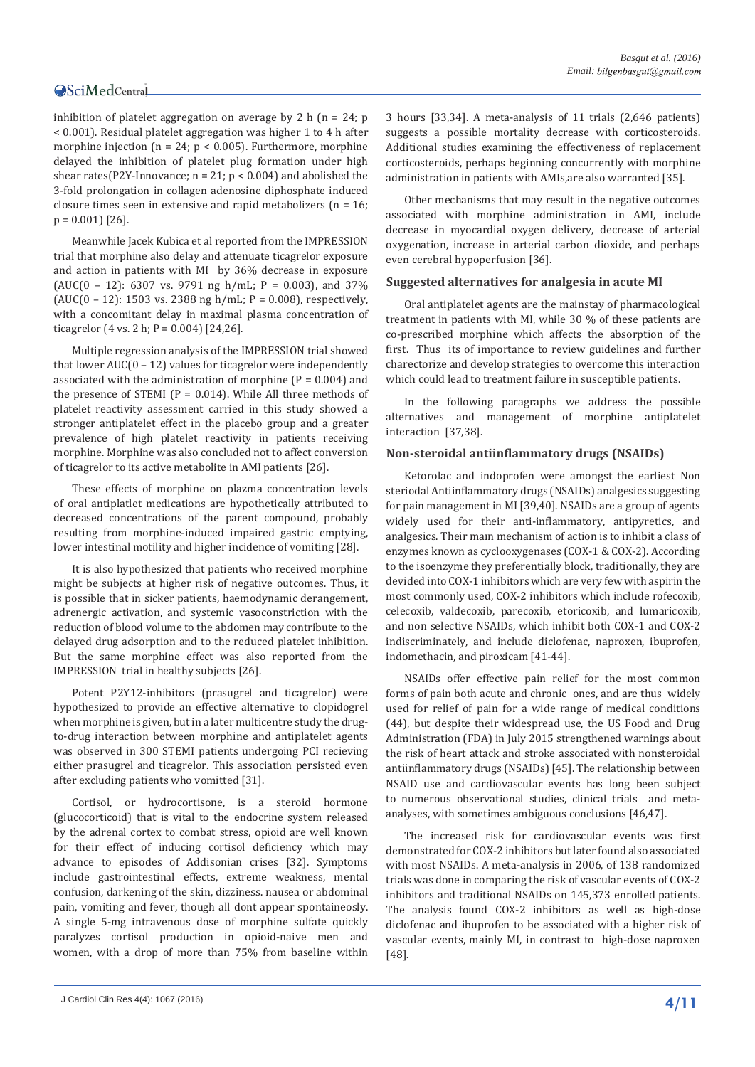inhibition of platelet aggregation on average by 2 h ( $n = 24$ ; p < 0.001). Residual platelet aggregation was higher 1 to 4 h after morphine injection ( $n = 24$ ;  $p < 0.005$ ). Furthermore, morphine delayed the inhibition of platelet plug formation under high shear rates(P2Y-Innovance;  $n = 21$ ;  $p < 0.004$ ) and abolished the 3-fold prolongation in collagen adenosine diphosphate induced closure times seen in extensive and rapid metabolizers (n = 16;  $p = 0.001$  [26].

Meanwhile Jacek Kubica et al reported from the IMPRESSION trial that morphine also delay and attenuate ticagrelor exposure and action in patients with MI by 36% decrease in exposure (AUC(0 - 12): 6307 vs. 9791 ng h/mL;  $P = 0.003$ ), and 37% (AUC(0 – 12): 1503 vs. 2388 ng h/mL;  $P = 0.008$ ), respectively, with a concomitant delay in maximal plasma concentration of ticagrelor  $(4 \text{ vs. } 2 \text{ h}; P = 0.004)$   $[24,26]$ .

Multiple regression analysis of the IMPRESSION trial showed that lower  $AUC(0 - 12)$  values for ticagrelor were independently associated with the administration of morphine  $(P = 0.004)$  and the presence of STEMI ( $P = 0.014$ ). While All three methods of platelet reactivity assessment carried in this study showed a stronger antiplatelet effect in the placebo group and a greater prevalence of high platelet reactivity in patients receiving morphine. Morphine was also concluded not to affect conversion of ticagrelor to its active metabolite in AMI patients [26].

These effects of morphine on plazma concentration levels of oral antiplatlet medications are hypothetically attributed to decreased concentrations of the parent compound, probably resulting from morphine-induced impaired gastric emptying, lower intestinal motility and higher incidence of vomiting [28].

It is also hypothesized that patients who received morphine might be subjects at higher risk of negative outcomes. Thus, it is possible that in sicker patients, haemodynamic derangement, adrenergic activation, and systemic vasoconstriction with the reduction of blood volume to the abdomen may contribute to the delayed drug adsorption and to the reduced platelet inhibition. But the same morphine effect was also reported from the IMPRESSION trial in healthy subjects [26].

Potent P2Y12-inhibitors (prasugrel and ticagrelor) were hypothesized to provide an effective alternative to clopidogrel when morphine is given, but in a later multicentre study the drugto-drug interaction between morphine and antiplatelet agents was observed in 300 STEMI patients undergoing PCI recieving either prasugrel and ticagrelor. This association persisted even after excluding patients who vomitted [31].

Cortisol, or hydrocortisone, is a steroid hormone (glucocorticoid) that is vital to the endocrine system released by the adrenal cortex to combat stress, opioid are well known for their effect of inducing cortisol deficiency which may advance to episodes of Addisonian crises [32]. Symptoms include gastrointestinal effects, extreme weakness, mental confusion, darkening of the skin, dizziness. nausea or abdominal pain, vomiting and fever, though all dont appear spontaineosly. A single 5-mg intravenous dose of morphine sulfate quickly paralyzes cortisol production in opioid-naive men and women, with a drop of more than 75% from baseline within

3 hours [33,34]. A meta-analysis of 11 trials (2,646 patients) suggests a possible mortality decrease with corticosteroids. Additional studies examining the effectiveness of replacement corticosteroids, perhaps beginning concurrently with morphine administration in patients with AMIs,are also warranted [35].

Other mechanisms that may result in the negative outcomes associated with morphine administration in AMI, include decrease in myocardial oxygen delivery, decrease of arterial oxygenation, increase in arterial carbon dioxide, and perhaps even cerebral hypoperfusion [36].

#### **Suggested alternatives for analgesia in acute MI**

Oral antiplatelet agents are the mainstay of pharmacological treatment in patients with MI, while 30 % of these patients are co-prescribed morphine which affects the absorption of the first. Thus its of importance to review guidelines and further charectorize and develop strategies to overcome this interaction which could lead to treatment failure in susceptible patients.

In the following paragraphs we address the possible alternatives and management of morphine antiplatelet interaction [37,38].

#### **Non-steroidal antiinflammatory drugs (NSAIDs)**

Ketorolac and indoprofen were amongst the earliest Non steriodal Antiinflammatory drugs (NSAIDs) analgesics suggesting for pain management in MI [39,40]. NSAIDs are a group of agents widely used for their anti-inflammatory, antipyretics, and analgesics. Their maın mechanism of action is to inhibit a class of enzymes known as cyclooxygenases (COX-1 & COX-2). According to the isoenzyme they preferentially block, traditionally, they are devided into COX-1 inhibitors which are very few with aspirin the most commonly used, COX-2 inhibitors which include rofecoxib, celecoxib, valdecoxib, parecoxib, etoricoxib, and lumaricoxib, and non selective NSAIDs, which inhibit both COX-1 and COX-2 indiscriminately, and include diclofenac, naproxen, ibuprofen, indomethacin, and piroxicam [41-44].

NSAIDs offer effective pain relief for the most common forms of pain both acute and chronic ones, and are thus widely used for relief of pain for a wide range of medical conditions (44), but despite their widespread use, the US Food and Drug Administration (FDA) in July 2015 strengthened warnings about the risk of heart attack and stroke associated with nonsteroidal antiinflammatory drugs (NSAIDs) [45]. The relationship between NSAID use and cardiovascular events has long been subject to numerous observational studies, clinical trials and metaanalyses, with sometimes ambiguous conclusions [46,47].

The increased risk for cardiovascular events was first demonstrated for COX-2 inhibitors but later found also associated with most NSAIDs. A meta-analysis in 2006, of 138 randomized trials was done in comparing the risk of vascular events of COX-2 inhibitors and traditional NSAIDs on 145,373 enrolled patients. The analysis found COX-2 inhibitors as well as high-dose diclofenac and ibuprofen to be associated with a higher risk of vascular events, mainly MI, in contrast to high-dose naproxen [48].

**<sup>4/11</sup>** J Cardiol Clin Res 4(4): 1067 (2016)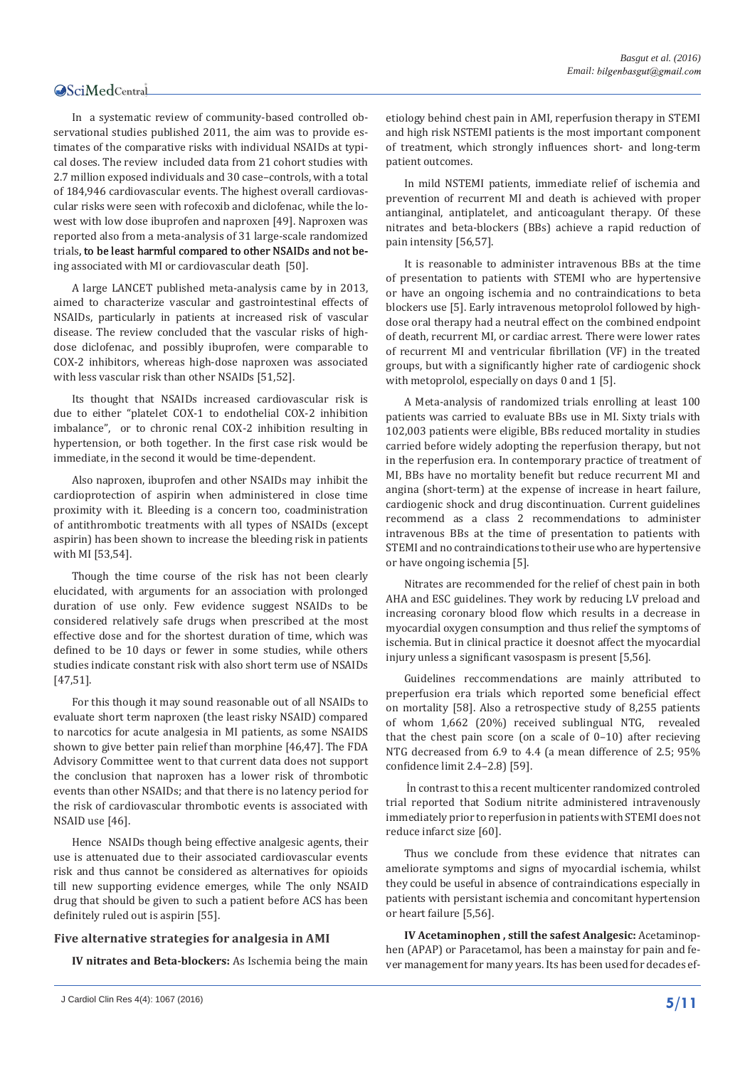In a systematic review of community-based controlled observational studies published 2011, the aim was to provide estimates of the comparative risks with individual NSAIDs at typical doses. The review included data from 21 cohort studies with 2.7 million exposed individuals and 30 case–controls, with a total of 184,946 cardiovascular events. The highest overall cardiovascular risks were seen with rofecoxib and diclofenac, while the lowest with low dose ibuprofen and naproxen [49]. Naproxen was reported also from a meta-analysis of 31 large-scale randomized trials, to be least harmful compared to other NSAIDs and not being associated with MI or cardiovascular death [50].

A large LANCET published meta-analysis came by in 2013, aimed to characterize vascular and gastrointestinal effects of NSAIDs, particularly in patients at increased risk of vascular disease. The review concluded that the vascular risks of highdose diclofenac, and possibly ibuprofen, were comparable to COX-2 inhibitors, whereas high-dose naproxen was associated with less vascular risk than other NSAIDs [51,52].

Its thought that NSAIDs increased cardiovascular risk is due to either "platelet COX-1 to endothelial COX-2 inhibition imbalance", or to chronic renal COX-2 inhibition resulting in hypertension, or both together. In the first case risk would be immediate, in the second it would be time-dependent.

Also naproxen, ibuprofen and other NSAIDs may inhibit the cardioprotection of aspirin when administered in close time proximity with it. Bleeding is a concern too, coadministration of antithrombotic treatments with all types of NSAIDs (except aspirin) has been shown to increase the bleeding risk in patients with MI [53,54].

Though the time course of the risk has not been clearly elucidated, with arguments for an association with prolonged duration of use only. Few evidence suggest NSAIDs to be considered relatively safe drugs when prescribed at the most effective dose and for the shortest duration of time, which was defined to be 10 days or fewer in some studies, while others studies indicate constant risk with also short term use of NSAIDs [47,51].

For this though it may sound reasonable out of all NSAIDs to evaluate short term naproxen (the least risky NSAID) compared to narcotics for acute analgesia in MI patients, as some NSAIDS shown to give better pain relief than morphine [46,47]. The FDA Advisory Committee went to that current data does not support the conclusion that naproxen has a lower risk of thrombotic events than other NSAIDs; and that there is no latency period for the risk of cardiovascular thrombotic events is associated with NSAID use [46].

Hence NSAIDs though being effective analgesic agents, their use is attenuated due to their associated cardiovascular events risk and thus cannot be considered as alternatives for opioids till new supporting evidence emerges, while The only NSAID drug that should be given to such a patient before ACS has been definitely ruled out is aspirin [55].

#### **Five alternative strategies for analgesia in AMI**

**IV nitrates and Beta-blockers:** As Ischemia being the main

etiology behind chest pain in AMI, reperfusion therapy in STEMI and high risk NSTEMI patients is the most important component of treatment, which strongly influences short- and long-term patient outcomes.

In mild NSTEMI patients, immediate relief of ischemia and prevention of recurrent MI and death is achieved with proper antianginal, antiplatelet, and anticoagulant therapy. Of these nitrates and beta-blockers (BBs) achieve a rapid reduction of pain intensity [56,57].

It is reasonable to administer intravenous BBs at the time of presentation to patients with STEMI who are hypertensive or have an ongoing ischemia and no contraindications to beta blockers use [5]. Early intravenous metoprolol followed by highdose oral therapy had a neutral effect on the combined endpoint of death, recurrent MI, or cardiac arrest. There were lower rates of recurrent MI and ventricular fibrillation (VF) in the treated groups, but with a significantly higher rate of cardiogenic shock with metoprolol, especially on days 0 and 1 [5].

A Meta-analysis of randomized trials enrolling at least 100 patients was carried to evaluate BBs use in MI. Sixty trials with 102,003 patients were eligible, BBs reduced mortality in studies carried before widely adopting the reperfusion therapy, but not in the reperfusion era. In contemporary practice of treatment of MI, BBs have no mortality benefit but reduce recurrent MI and angina (short-term) at the expense of increase in heart failure, cardiogenic shock and drug discontinuation. Current guidelines recommend as a class 2 recommendations to administer intravenous BBs at the time of presentation to patients with STEMI and no contraindications to their use who are hypertensive or have ongoing ischemia [5].

Nitrates are recommended for the relief of chest pain in both AHA and ESC guidelines. They work by reducing LV preload and increasing coronary blood flow which results in a decrease in myocardial oxygen consumption and thus relief the symptoms of ischemia. But in clinical practice it doesnot affect the myocardial injury unless a significant vasospasm is present [5,56].

Guidelines reccommendations are mainly attributed to preperfusion era trials which reported some beneficial effect on mortality [58]. Also a retrospective study of 8,255 patients of whom 1,662 (20%) received sublingual NTG, revealed that the chest pain score (on a scale of 0–10) after recieving NTG decreased from 6.9 to 4.4 (a mean difference of 2.5; 95% confidence limit 2.4–2.8) [59].

 İn contrast to this a recent multicenter randomized controled trial reported that Sodium nitrite administered intravenously immediately prior to reperfusion in patients with STEMI does not reduce infarct size [60].

Thus we conclude from these evidence that nitrates can ameliorate symptoms and signs of myocardial ischemia, whilst they could be useful in absence of contraindications especially in patients with persistant ischemia and concomitant hypertension or heart failure [5,56].

**IV Acetaminophen , still the safest Analgesic:** Acetaminophen (APAP) or Paracetamol, has been a mainstay for pain and fever management for many years. Its has been used for decades ef-

**<sup>5/11</sup>** J Cardiol Clin Res 4(4): 1067 (2016)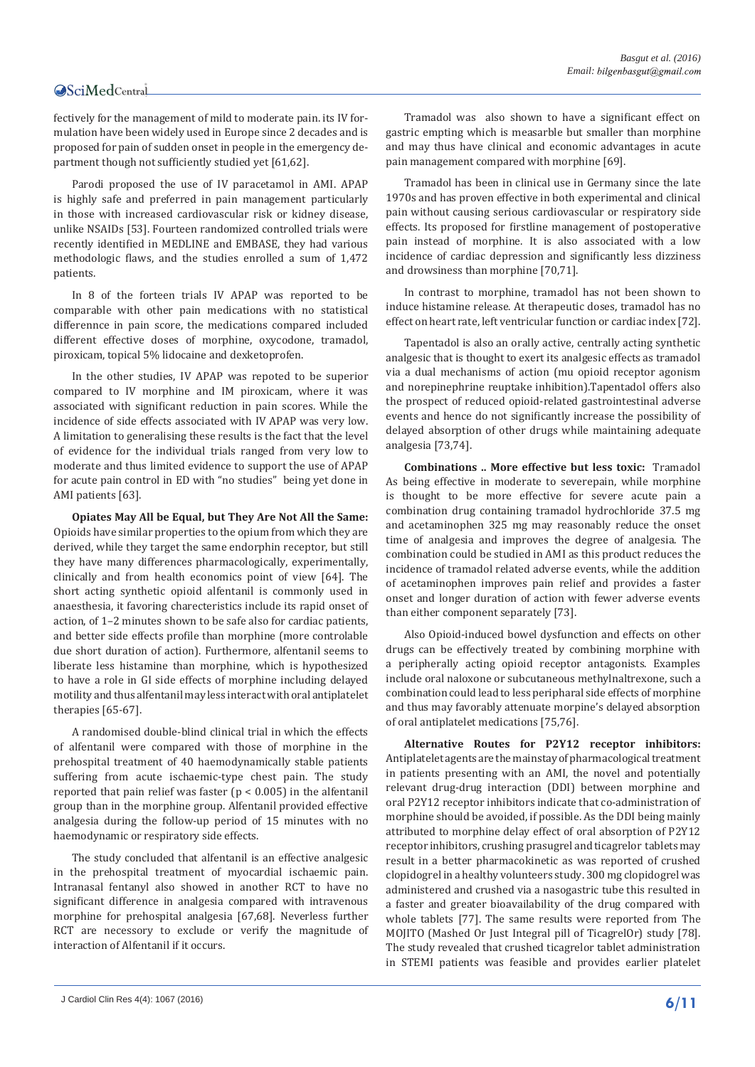fectively for the management of mild to moderate pain. its IV formulation have been widely used in Europe since 2 decades and is proposed for pain of sudden onset in people in the emergency department though not sufficiently studied yet [61,62].

Parodi proposed the use of IV paracetamol in AMI. APAP is highly safe and preferred in pain management particularly in those with increased cardiovascular risk or kidney disease, unlike NSAIDs [53]. Fourteen randomized controlled trials were recently identified in MEDLINE and EMBASE, they had various methodologic flaws, and the studies enrolled a sum of 1,472 patients.

In 8 of the forteen trials IV APAP was reported to be comparable with other pain medications with no statistical differennce in pain score, the medications compared included different effective doses of morphine, oxycodone, tramadol, piroxicam, topical 5% lidocaine and dexketoprofen.

In the other studies, IV APAP was repoted to be superior compared to IV morphine and IM piroxicam, where it was associated with significant reduction in pain scores. While the incidence of side effects associated with IV APAP was very low. A limitation to generalising these results is the fact that the level of evidence for the individual trials ranged from very low to moderate and thus limited evidence to support the use of APAP for acute pain control in ED with "no studies" being yet done in AMI patients [63].

**Opiates May All be Equal, but They Are Not All the Same:**  Opioids have similar properties to the opium from which they are derived, while they target the same endorphin receptor, but still they have many differences pharmacologically, experimentally, clinically and from health economics point of view [64]. The short acting synthetic opioid alfentanil is commonly used in anaesthesia, it favoring charecteristics include its rapid onset of action, of 1–2 minutes shown to be safe also for cardiac patients, and better side effects profile than morphine (more controlable due short duration of action). Furthermore, alfentanil seems to liberate less histamine than morphine, which is hypothesized to have a role in GI side effects of morphine including delayed motility and thus alfentanil may less interact with oral antiplatelet therapies [65-67].

A randomised double-blind clinical trial in which the effects of alfentanil were compared with those of morphine in the prehospital treatment of 40 haemodynamically stable patients suffering from acute ischaemic-type chest pain. The study reported that pain relief was faster ( $p < 0.005$ ) in the alfentanil group than in the morphine group. Alfentanil provided effective analgesia during the follow-up period of 15 minutes with no haemodynamic or respiratory side effects.

The study concluded that alfentanil is an effective analgesic in the prehospital treatment of myocardial ischaemic pain. Intranasal fentanyl also showed in another RCT to have no significant difference in analgesia compared with intravenous morphine for prehospital analgesia [67,68]. Neverless further RCT are necessory to exclude or verify the magnitude of interaction of Alfentanil if it occurs.

Tramadol was also shown to have a significant effect on gastric empting which is measarble but smaller than morphine and may thus have clinical and economic advantages in acute pain management compared with morphine [69].

Tramadol has been in clinical use in Germany since the late 1970s and has proven effective in both experimental and clinical pain without causing serious cardiovascular or respiratory side effects. Its proposed for firstline management of postoperative pain instead of morphine. It is also associated with a low incidence of cardiac depression and significantly less dizziness and drowsiness than morphine [70,71].

In contrast to morphine, tramadol has not been shown to induce histamine release. At therapeutic doses, tramadol has no effect on heart rate, left ventricular function or cardiac index [72].

Tapentadol is also an orally active, centrally acting synthetic analgesic that is thought to exert its analgesic effects as tramadol via a dual mechanisms of action (mu opioid receptor agonism and norepinephrine reuptake inhibition).Tapentadol offers also the prospect of reduced opioid-related gastrointestinal adverse events and hence do not significantly increase the possibility of delayed absorption of other drugs while maintaining adequate analgesia [73,74].

**Combinations .. More effective but less toxic:** Tramadol As being effective in moderate to severepain, while morphine is thought to be more effective for severe acute pain a combination drug containing tramadol hydrochloride 37.5 mg and acetaminophen 325 mg may reasonably reduce the onset time of analgesia and improves the degree of analgesia. The combination could be studied in AMI as this product reduces the incidence of tramadol related adverse events, while the addition of acetaminophen improves pain relief and provides a faster onset and longer duration of action with fewer adverse events than either component separately [73].

Also Opioid-induced bowel dysfunction and effects on other drugs can be effectively treated by combining morphine with a peripherally acting opioid receptor antagonists. Examples include oral naloxone or subcutaneous methylnaltrexone, such a combination could lead to less peripharal side effects of morphine and thus may favorably attenuate morpine's delayed absorption of oral antiplatelet medications [75,76].

**Alternative Routes for P2Y12 receptor inhibitors:**  Antiplatelet agents are the mainstay of pharmacological treatment in patients presenting with an AMI, the novel and potentially relevant drug-drug interaction (DDI) between morphine and oral P2Y12 receptor inhibitors indicate that co-administration of morphine should be avoided, if possible. As the DDI being mainly attributed to morphine delay effect of oral absorption of P2Y12 receptor inhibitors, crushing prasugrel and ticagrelor tablets may result in a better pharmacokinetic as was reported of crushed clopidogrel in a healthy volunteers study. 300 mg clopidogrel was administered and crushed via a nasogastric tube this resulted in a faster and greater bioavailability of the drug compared with whole tablets [77]. The same results were reported from The MOJITO (Mashed Or Just Integral pill of TicagrelOr) study [78]. The study revealed that crushed ticagrelor tablet administration in STEMI patients was feasible and provides earlier platelet

**<sup>6/11</sup>** J Cardiol Clin Res 4(4): 1067 (2016)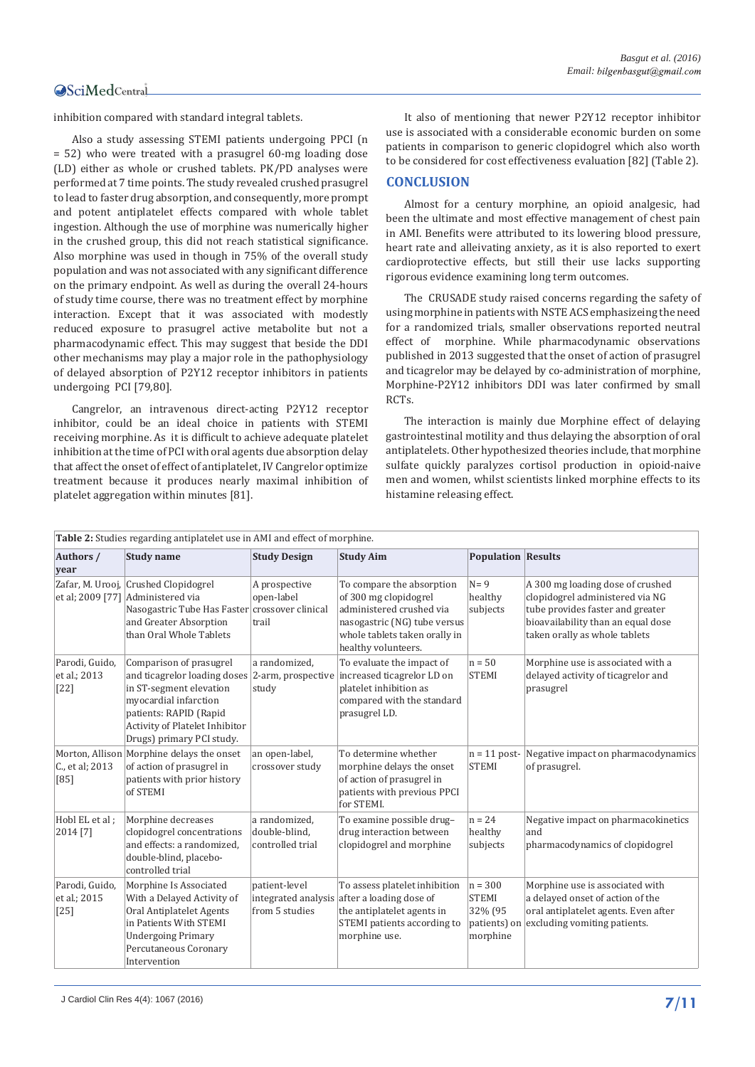inhibition compared with standard integral tablets.

Also a study assessing STEMI patients undergoing PPCI (n = 52) who were treated with a prasugrel 60-mg loading dose (LD) either as whole or crushed tablets. PK/PD analyses were performed at 7 time points. The study revealed crushed prasugrel to lead to faster drug absorption, and consequently, more prompt and potent antiplatelet effects compared with whole tablet ingestion. Although the use of morphine was numerically higher in the crushed group, this did not reach statistical significance. Also morphine was used in though in 75% of the overall study population and was not associated with any significant difference on the primary endpoint. As well as during the overall 24-hours of study time course, there was no treatment effect by morphine interaction. Except that it was associated with modestly reduced exposure to prasugrel active metabolite but not a pharmacodynamic effect. This may suggest that beside the DDI other mechanisms may play a major role in the pathophysiology of delayed absorption of P2Y12 receptor inhibitors in patients undergoing PCI [79,80].

Cangrelor, an intravenous direct-acting P2Y12 receptor inhibitor, could be an ideal choice in patients with STEMI receiving morphine. As it is difficult to achieve adequate platelet inhibition at the time of PCI with oral agents due absorption delay that affect the onset of effect of antiplatelet, IV Cangrelor optimize treatment because it produces nearly maximal inhibition of platelet aggregation within minutes [81].

It also of mentioning that newer P2Y12 receptor inhibitor use is associated with a considerable economic burden on some patients in comparison to generic clopidogrel which also worth to be considered for cost effectiveness evaluation [82] (Table 2).

### **CONCLUSION**

Almost for a century morphine, an opioid analgesic, had been the ultimate and most effective management of chest pain in AMI. Benefits were attributed to its lowering blood pressure, heart rate and alleivating anxiety, as it is also reported to exert cardioprotective effects, but still their use lacks supporting rigorous evidence examining long term outcomes.

The CRUSADE study raised concerns regarding the safety of using morphine in patients with NSTE ACS emphasizeing the need for a randomized trials, smaller observations reported neutral effect of morphine. While pharmacodynamic observations published in 2013 suggested that the onset of action of prasugrel and ticagrelor may be delayed by co-administration of morphine, Morphine-P2Y12 inhibitors DDI was later confirmed by small RCTs.

The interaction is mainly due Morphine effect of delaying gastrointestinal motility and thus delaying the absorption of oral antiplatelets. Other hypothesized theories include, that morphine sulfate quickly paralyzes cortisol production in opioid-naive men and women, whilst scientists linked morphine effects to its histamine releasing effect.

| Table 2: Studies regarding antiplatelet use in AMI and effect of morphine. |                                                                                                                                                                                                                                                    |                                                    |                                                                                                                                                                        |                                                                  |                                                                                                                                                                                |  |  |
|----------------------------------------------------------------------------|----------------------------------------------------------------------------------------------------------------------------------------------------------------------------------------------------------------------------------------------------|----------------------------------------------------|------------------------------------------------------------------------------------------------------------------------------------------------------------------------|------------------------------------------------------------------|--------------------------------------------------------------------------------------------------------------------------------------------------------------------------------|--|--|
| Authors /<br>year                                                          | <b>Study name</b>                                                                                                                                                                                                                                  | <b>Study Design</b>                                | <b>Study Aim</b>                                                                                                                                                       | <b>Population Results</b>                                        |                                                                                                                                                                                |  |  |
| et al; 2009 [77]                                                           | Zafar, M. Urooj, Crushed Clopidogrel<br>Administered via<br>Nasogastric Tube Has Faster crossover clinical<br>and Greater Absorption<br>than Oral Whole Tablets                                                                                    | A prospective<br>open-label<br>trail               | To compare the absorption<br>of 300 mg clopidogrel<br>administered crushed via<br>nasogastric (NG) tube versus<br>whole tablets taken orally in<br>healthy volunteers. | $N = 9$<br>healthy<br>subjects                                   | A 300 mg loading dose of crushed<br>clopidogrel administered via NG<br>tube provides faster and greater<br>bioavailability than an equal dose<br>taken orally as whole tablets |  |  |
| Parodi, Guido,<br>et al.; 2013<br>$[22]$                                   | Comparison of prasugrel<br>and ticagrelor loading doses 2-arm, prospective increased ticagrelor LD on<br>in ST-segment elevation<br>myocardial infarction<br>patients: RAPID (Rapid<br>Activity of Platelet Inhibitor<br>Drugs) primary PCI study. | a randomized,<br>study                             | To evaluate the impact of<br>platelet inhibition as<br>compared with the standard<br>prasugrel LD.                                                                     | $n = 50$<br><b>STEMI</b>                                         | Morphine use is associated with a<br>delayed activity of ticagrelor and<br>prasugrel                                                                                           |  |  |
| C., et al; 2013<br>[85]                                                    | Morton, Allison Morphine delays the onset<br>of action of prasugrel in<br>patients with prior history<br>of STEMI                                                                                                                                  | an open-label,<br>crossover study                  | To determine whether<br>morphine delays the onset<br>of action of prasugrel in<br>patients with previous PPCI<br>for STEMI.                                            | <b>STEMI</b>                                                     | $n = 11$ post- Negative impact on pharmacodynamics<br>of prasugrel.                                                                                                            |  |  |
| Hobl EL et al:<br>2014 [7]                                                 | Morphine decreases<br>clopidogrel concentrations<br>and effects: a randomized,<br>double-blind, placebo-<br>controlled trial                                                                                                                       | a randomized,<br>double-blind,<br>controlled trial | To examine possible drug-<br>drug interaction between<br>clopidogrel and morphine                                                                                      | $n = 24$<br>healthy<br>subjects                                  | Negative impact on pharmacokinetics<br>and<br>pharmacodynamics of clopidogrel                                                                                                  |  |  |
| Parodi, Guido,<br>et al.; 2015<br>$[25]$                                   | Morphine Is Associated<br>With a Delayed Activity of<br>Oral Antiplatelet Agents<br>in Patients With STEMI<br><b>Undergoing Primary</b><br>Percutaneous Coronary<br>Intervention                                                                   | patient-level<br>from 5 studies                    | To assess platelet inhibition<br>integrated analysis after a loading dose of<br>the antiplatelet agents in<br>STEMI patients according to<br>morphine use.             | $n = 300$<br><b>STEMI</b><br>32% (95<br>patients) on<br>morphine | Morphine use is associated with<br>a delayed onset of action of the<br>oral antiplatelet agents. Even after<br>excluding vomiting patients.                                    |  |  |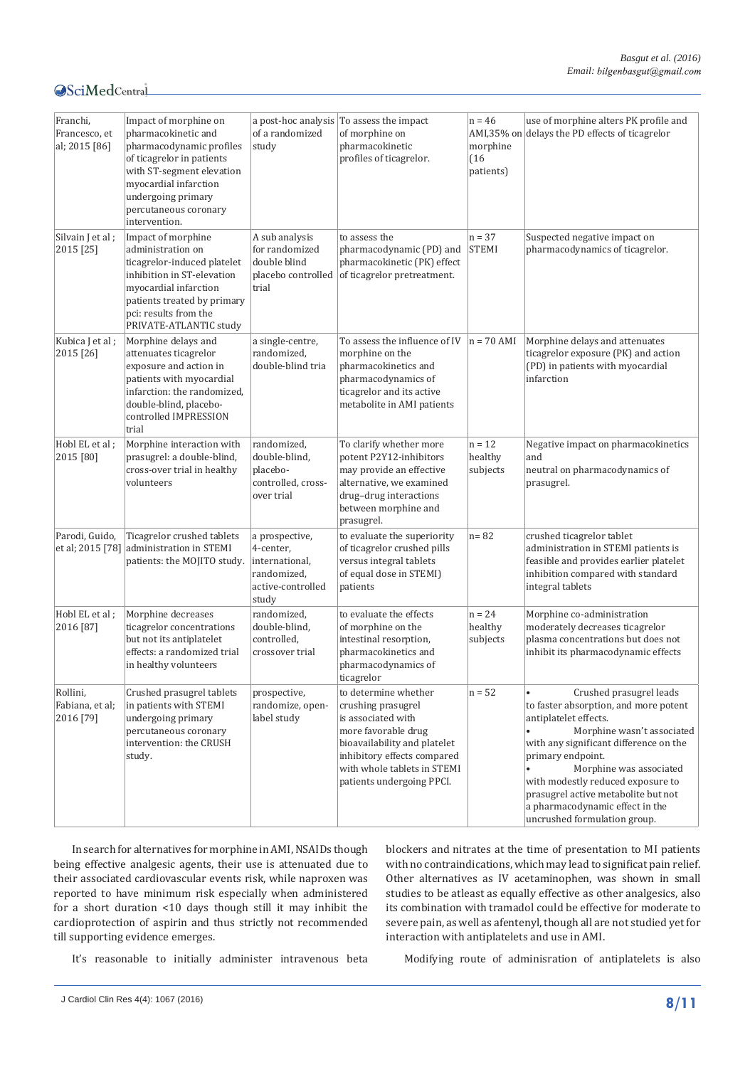| Franchi,<br>Francesco, et<br>al; 2015 [86] | Impact of morphine on<br>pharmacokinetic and<br>pharmacodynamic profiles<br>of ticagrelor in patients<br>with ST-segment elevation<br>myocardial infarction<br>undergoing primary<br>percutaneous coronary<br>intervention. | of a randomized<br>study                                                                   | a post-hoc analysis To assess the impact<br>of morphine on<br>pharmacokinetic<br>profiles of ticagrelor.                                                                                                           | $n = 46$<br>morphine<br>(16)<br>patients) | use of morphine alters PK profile and<br>AMI,35% on delays the PD effects of ticagrelor                                                                                                                                                                                                                                                                          |
|--------------------------------------------|-----------------------------------------------------------------------------------------------------------------------------------------------------------------------------------------------------------------------------|--------------------------------------------------------------------------------------------|--------------------------------------------------------------------------------------------------------------------------------------------------------------------------------------------------------------------|-------------------------------------------|------------------------------------------------------------------------------------------------------------------------------------------------------------------------------------------------------------------------------------------------------------------------------------------------------------------------------------------------------------------|
| Silvain J et al;<br>2015 [25]              | Impact of morphine<br>administration on<br>ticagrelor-induced platelet<br>inhibition in ST-elevation<br>myocardial infarction<br>patients treated by primary<br>pci: results from the<br>PRIVATE-ATLANTIC study             | A sub analysis<br>for randomized<br>double blind<br>placebo controlled<br>trial            | to assess the<br>pharmacodynamic (PD) and<br>pharmacokinetic (PK) effect<br>of ticagrelor pretreatment.                                                                                                            | $n = 37$<br><b>STEMI</b>                  | Suspected negative impact on<br>pharmacodynamics of ticagrelor.                                                                                                                                                                                                                                                                                                  |
| Kubica J et al;<br>2015 [26]               | Morphine delays and<br>attenuates ticagrelor<br>exposure and action in<br>patients with myocardial<br>infarction: the randomized,<br>double-blind, placebo-<br>controlled IMPRESSION<br>trial                               | a single-centre,<br>randomized,<br>double-blind tria                                       | To assess the influence of IV<br>morphine on the<br>pharmacokinetics and<br>pharmacodynamics of<br>ticagrelor and its active<br>metabolite in AMI patients                                                         | $n = 70$ AMI                              | Morphine delays and attenuates<br>ticagrelor exposure (PK) and action<br>(PD) in patients with myocardial<br>infarction                                                                                                                                                                                                                                          |
| Hobl EL et al;<br>2015 [80]                | Morphine interaction with<br>prasugrel: a double-blind,<br>cross-over trial in healthy<br>volunteers                                                                                                                        | randomized,<br>double-blind,<br>placebo-<br>controlled, cross-<br>over trial               | To clarify whether more<br>potent P2Y12-inhibitors<br>may provide an effective<br>alternative, we examined<br>drug-drug interactions<br>between morphine and<br>prasugrel.                                         | $n = 12$<br>healthy<br>subjects           | Negative impact on pharmacokinetics<br>and<br>neutral on pharmacodynamics of<br>prasugrel.                                                                                                                                                                                                                                                                       |
| Parodi, Guido,<br>et al; 2015 [78]         | Ticagrelor crushed tablets<br>administration in STEMI<br>patients: the MOJITO study.                                                                                                                                        | a prospective,<br>4-center,<br>international,<br>randomized,<br>active-controlled<br>study | to evaluate the superiority<br>of ticagrelor crushed pills<br>versus integral tablets<br>of equal dose in STEMI)<br>patients                                                                                       | $n = 82$                                  | crushed ticagrelor tablet<br>administration in STEMI patients is<br>feasible and provides earlier platelet<br>inhibition compared with standard<br>integral tablets                                                                                                                                                                                              |
| Hobl EL et al ;<br>2016 [87]               | Morphine decreases<br>ticagrelor concentrations<br>but not its antiplatelet<br>effects: a randomized trial<br>in healthy volunteers                                                                                         | randomized,<br>double-blind,<br>controlled,<br>crossover trial                             | to evaluate the effects<br>of morphine on the<br>intestinal resorption,<br>pharmacokinetics and<br>pharmacodynamics of<br>ticagrelor                                                                               | $n = 24$<br>healthy<br>subjects           | Morphine co-administration<br>moderately decreases ticagrelor<br>plasma concentrations but does not<br>inhibit its pharmacodynamic effects                                                                                                                                                                                                                       |
| Rollini,<br>Fabiana, et al;<br>2016 [79]   | Crushed prasugrel tablets<br>in patients with STEMI<br>undergoing primary<br>percutaneous coronary<br>intervention: the CRUSH<br>study.                                                                                     | prospective,<br>randomize, open-<br>label study                                            | to determine whether<br>crushing prasugrel<br>is associated with<br>more favorable drug<br>bioavailability and platelet<br>inhibitory effects compared<br>with whole tablets in STEMI<br>patients undergoing PPCI. | $n = 52$                                  | Crushed prasugrel leads<br>to faster absorption, and more potent<br>antiplatelet effects.<br>Morphine wasn't associated<br>with any significant difference on the<br>primary endpoint.<br>Morphine was associated<br>with modestly reduced exposure to<br>prasugrel active metabolite but not<br>a pharmacodynamic effect in the<br>uncrushed formulation group. |

In search for alternatives for morphine in AMI, NSAIDs though being effective analgesic agents, their use is attenuated due to their associated cardiovascular events risk, while naproxen was reported to have minimum risk especially when administered for a short duration <10 days though still it may inhibit the cardioprotection of aspirin and thus strictly not recommended till supporting evidence emerges.

blockers and nitrates at the time of presentation to MI patients with no contraindications, which may lead to significat pain relief. Other alternatives as IV acetaminophen, was shown in small studies to be atleast as equally effective as other analgesics, also its combination with tramadol could be effective for moderate to severe pain, as well as afentenyl, though all are not studied yet for interaction with antiplatelets and use in AMI.

It's reasonable to initially administer intravenous beta

Modifying route of adminisration of antiplatelets is also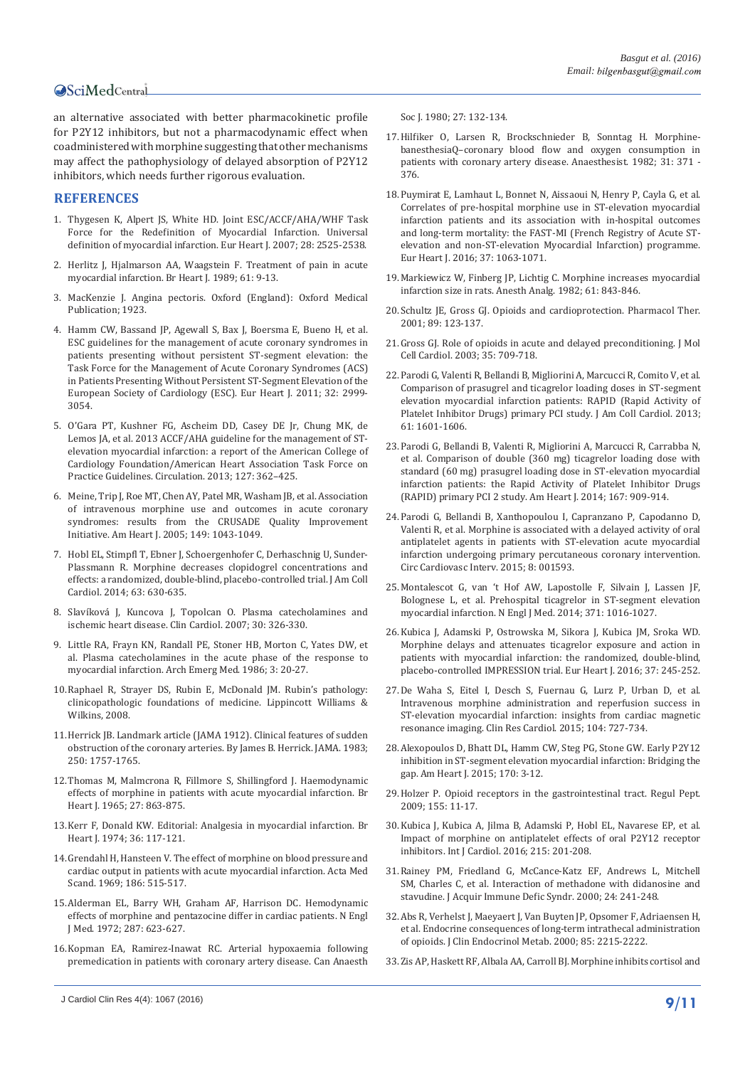an alternative associated with better pharmacokinetic profile for P2Y12 inhibitors, but not a pharmacodynamic effect when coadministered with morphine suggesting that other mechanisms may affect the pathophysiology of delayed absorption of P2Y12 inhibitors, which needs further rigorous evaluation.

#### **REFERENCES**

- 1. [Thygesen K, Alpert JS, White HD. Joint ESC/ACCF/AHA/WHF Task](http://www.ncbi.nlm.nih.gov/pubmed/17951287)  [Force for the Redefinition of Myocardial Infarction. Universal](http://www.ncbi.nlm.nih.gov/pubmed/17951287)  [definition of myocardial infarction. Eur Heart J. 2007; 28: 2525-2538.](http://www.ncbi.nlm.nih.gov/pubmed/17951287)
- 2. [Herlitz J, Hjalmarson AA, Waagstein F. Treatment of pain in acute](http://www.ncbi.nlm.nih.gov/pmc/articles/PMC1216614/pdf/brheartj00061-0017.pdf)  [myocardial infarction. Br Heart J. 1989; 61: 9-13.](http://www.ncbi.nlm.nih.gov/pmc/articles/PMC1216614/pdf/brheartj00061-0017.pdf)
- 3. MacKenzie J. Angina pectoris. Oxford (England): Oxford Medical Publication; 1923.
- 4. [Hamm CW, Bassand JP, Agewall S, Bax J, Boersma E, Bueno H, et al.](http://www.ncbi.nlm.nih.gov/pubmed/21873419)  [ESC guidelines for the management of acute coronary syndromes in](http://www.ncbi.nlm.nih.gov/pubmed/21873419)  [patients presenting without persistent ST-segment elevation: the](http://www.ncbi.nlm.nih.gov/pubmed/21873419)  [Task Force for the Management of Acute Coronary Syndromes \(ACS\)](http://www.ncbi.nlm.nih.gov/pubmed/21873419)  [in Patients Presenting Without Persistent ST-Segment Elevation of the](http://www.ncbi.nlm.nih.gov/pubmed/21873419)  [European Society of Cardiology \(ESC\). Eur Heart J. 2011; 32: 2999-](http://www.ncbi.nlm.nih.gov/pubmed/21873419) [3054.](http://www.ncbi.nlm.nih.gov/pubmed/21873419)
- 5. [O'Gara PT, Kushner FG, Ascheim DD, Casey DE Jr, Chung MK, de](http://www.ncbi.nlm.nih.gov/pubmed/23247304)  [Lemos JA, et al. 2013 ACCF/AHA guideline for the management of ST](http://www.ncbi.nlm.nih.gov/pubmed/23247304)[elevation myocardial infarction: a report of the American College of](http://www.ncbi.nlm.nih.gov/pubmed/23247304)  [Cardiology Foundation/American Heart Association Task Force on](http://www.ncbi.nlm.nih.gov/pubmed/23247304)  [Practice Guidelines. Circulation. 2013; 127: 362–425.](http://www.ncbi.nlm.nih.gov/pubmed/23247304)
- 6. [Meine, Trip J, Roe MT, Chen AY, Patel MR, Washam JB, et al. Association](http://www.ncbi.nlm.nih.gov/pubmed/15976786)  [of intravenous morphine use and outcomes in acute coronary](http://www.ncbi.nlm.nih.gov/pubmed/15976786)  [syndromes: results from the CRUSADE Quality Improvement](http://www.ncbi.nlm.nih.gov/pubmed/15976786)  [Initiative. Am Heart J. 2005; 149: 1043-1049.](http://www.ncbi.nlm.nih.gov/pubmed/15976786)
- 7. [Hobl EL, Stimpfl T, Ebner J, Schoergenhofer C, Derhaschnig U, Sunder-](http://www.ncbi.nlm.nih.gov/pubmed/24315907)[Plassmann R. Morphine decreases clopidogrel concentrations and](http://www.ncbi.nlm.nih.gov/pubmed/24315907)  [effects: a randomized, double-blind, placebo-controlled trial. J Am Coll](http://www.ncbi.nlm.nih.gov/pubmed/24315907)  [Cardiol. 2014; 63: 630-635.](http://www.ncbi.nlm.nih.gov/pubmed/24315907)
- 8. [Slavíková J, Kuncova J, Topolcan O. Plasma catecholamines and](http://www.ncbi.nlm.nih.gov/pubmed/17674373)  [ischemic heart disease. Clin Cardiol. 2007; 30: 326-330.](http://www.ncbi.nlm.nih.gov/pubmed/17674373)
- 9. [Little RA, Frayn KN, Randall PE, Stoner HB, Morton C, Yates DW, et](http://www.ncbi.nlm.nih.gov/pubmed/)  [al. Plasma catecholamines in the acute phase of the response to](http://www.ncbi.nlm.nih.gov/pubmed/)  [myocardial infarction. Arch Emerg Med. 1986; 3: 20-27.](http://www.ncbi.nlm.nih.gov/pubmed/)
- 10.[Raphael R, Strayer DS, Rubin E, McDonald JM. Rubin's pathology:](https://books.google.co.in/books?vid=ISBN0781795168&redir_esc=y)  [clinicopathologic foundations of medicine. Lippincott Williams &](https://books.google.co.in/books?vid=ISBN0781795168&redir_esc=y)  [Wilkins, 2008.](https://books.google.co.in/books?vid=ISBN0781795168&redir_esc=y)
- 11.[Herrick JB. Landmark article \(JAMA 1912\). Clinical features of sudden](http://www.ncbi.nlm.nih.gov/pubmed/6350634)  [obstruction of the coronary arteries. By James B. Herrick. JAMA. 1983;](http://www.ncbi.nlm.nih.gov/pubmed/6350634)  [250: 1757-1765.](http://www.ncbi.nlm.nih.gov/pubmed/6350634)
- 12.[Thomas M, Malmcrona R, Fillmore S, Shillingford J. Haemodynamic](http://www.ncbi.nlm.nih.gov/pubmed/5323430)  [effects of morphine in patients with acute myocardial infarction. Br](http://www.ncbi.nlm.nih.gov/pubmed/5323430)  [Heart J. 1965; 27: 863-875.](http://www.ncbi.nlm.nih.gov/pubmed/5323430)
- 13.[Kerr F, Donald KW. Editorial: Analgesia in myocardial infarction. Br](http://heart.bmj.com/content/36/2/117.full.pdf)  [Heart J. 1974; 36: 117-121.](http://heart.bmj.com/content/36/2/117.full.pdf)
- 14.[Grendahl H, Hansteen V. The effect of morphine on blood pressure and](http://www.ncbi.nlm.nih.gov/pubmed/4910015)  [cardiac output in patients with acute myocardial infarction. Acta Med](http://www.ncbi.nlm.nih.gov/pubmed/4910015)  [Scand. 1969; 186: 515-517.](http://www.ncbi.nlm.nih.gov/pubmed/4910015)
- 15.[Alderman EL, Barry WH, Graham AF, Harrison DC. Hemodynamic](http://www.ncbi.nlm.nih.gov/pubmed/4561828)  [effects of morphine and pentazocine differ in cardiac patients. N Engl](http://www.ncbi.nlm.nih.gov/pubmed/4561828)  [J Med. 1972; 287: 623-627.](http://www.ncbi.nlm.nih.gov/pubmed/4561828)
- 16.[Kopman EA, Ramirez-Inawat RC. Arterial hypoxaemia following](http://www.ncbi.nlm.nih.gov/pubmed/6767539)  [premedication in patients with coronary artery disease. Can Anaesth](http://www.ncbi.nlm.nih.gov/pubmed/6767539)

[Soc J. 1980; 27: 132-134.](http://www.ncbi.nlm.nih.gov/pubmed/6767539)

- 17.[Hilfiker O, Larsen R, Brockschnieder B, Sonntag H. Morphine](http://www.ncbi.nlm.nih.gov/pubmed/6982637)[banesthesiaQ–coronary blood flow and oxygen consumption in](http://www.ncbi.nlm.nih.gov/pubmed/6982637)  [patients with coronary artery disease. Anaesthesist. 1982; 31: 371 -](http://www.ncbi.nlm.nih.gov/pubmed/6982637)  [376.](http://www.ncbi.nlm.nih.gov/pubmed/6982637)
- 18.[Puymirat E, Lamhaut L, Bonnet N, Aissaoui N, Henry P, Cayla G, et al.](http://www.ncbi.nlm.nih.gov/pubmed/26578201)  [Correlates of pre-hospital morphine use in ST-elevation myocardial](http://www.ncbi.nlm.nih.gov/pubmed/26578201)  [infarction patients and its association with in-hospital outcomes](http://www.ncbi.nlm.nih.gov/pubmed/26578201)  [and long-term mortality: the FAST-MI \(French Registry of Acute ST](http://www.ncbi.nlm.nih.gov/pubmed/26578201)[elevation and non-ST-elevation Myocardial Infarction\) programme.](http://www.ncbi.nlm.nih.gov/pubmed/26578201)  [Eur Heart J. 2016; 37: 1063-1071.](http://www.ncbi.nlm.nih.gov/pubmed/26578201)
- 19.[Markiewicz W, Finberg JP, Lichtig C. Morphine increases myocardial](http://www.ncbi.nlm.nih.gov/pubmed/7125250)  [infarction size in rats. Anesth Analg. 1982; 61: 843-846.](http://www.ncbi.nlm.nih.gov/pubmed/7125250)
- 20.[Schultz JE, Gross GJ. Opioids and cardioprotection. Pharmacol Ther.](http://www.ncbi.nlm.nih.gov/pubmed/11316516)  [2001; 89: 123-137.](http://www.ncbi.nlm.nih.gov/pubmed/11316516)
- 21.[Gross GJ. Role of opioids in acute and delayed preconditioning. J Mol](http://www.ncbi.nlm.nih.gov/pubmed/)  [Cell Cardiol. 2003; 35: 709-718.](http://www.ncbi.nlm.nih.gov/pubmed/)
- 22.[Parodi G, Valenti R, Bellandi B, Migliorini A, Marcucci R, Comito V, et al.](http://www.ncbi.nlm.nih.gov/pubmed/23500251)  [Comparison of prasugrel and ticagrelor loading doses in ST-segment](http://www.ncbi.nlm.nih.gov/pubmed/23500251)  [elevation myocardial infarction patients: RAPID \(Rapid Activity of](http://www.ncbi.nlm.nih.gov/pubmed/23500251)  [Platelet Inhibitor Drugs\) primary PCI study. J Am Coll Cardiol. 2013;](http://www.ncbi.nlm.nih.gov/pubmed/23500251)  [61: 1601-1606.](http://www.ncbi.nlm.nih.gov/pubmed/23500251)
- 23.[Parodi G, Bellandi B, Valenti R, Migliorini A, Marcucci R, Carrabba N,](http://www.ncbi.nlm.nih.gov/pubmed/24890542)  [et al. Comparison of double \(360 mg\) ticagrelor loading dose with](http://www.ncbi.nlm.nih.gov/pubmed/24890542)  [standard \(60 mg\) prasugrel loading dose in ST-elevation myocardial](http://www.ncbi.nlm.nih.gov/pubmed/24890542)  [infarction patients: the Rapid Activity of Platelet Inhibitor Drugs](http://www.ncbi.nlm.nih.gov/pubmed/24890542)  [\(RAPID\) primary PCI 2 study. Am Heart J. 2014; 167: 909-914.](http://www.ncbi.nlm.nih.gov/pubmed/24890542)
- 24.[Parodi G, Bellandi B, Xanthopoulou I, Capranzano P, Capodanno D,](http://www.ncbi.nlm.nih.gov/pubmed/25552565)  [Valenti R, et al. Morphine is associated with a delayed activity of oral](http://www.ncbi.nlm.nih.gov/pubmed/25552565)  [antiplatelet agents in patients with ST-elevation acute myocardial](http://www.ncbi.nlm.nih.gov/pubmed/25552565)  [infarction undergoing primary percutaneous coronary intervention.](http://www.ncbi.nlm.nih.gov/pubmed/25552565)  [Circ Cardiovasc Interv. 2015; 8: 001593.](http://www.ncbi.nlm.nih.gov/pubmed/25552565)
- 25.[Montalescot G, van 't Hof AW, Lapostolle F, Silvain J, Lassen JF,](http://www.ncbi.nlm.nih.gov/pubmed/)  [Bolognese L, et al. Prehospital ticagrelor in ST-segment elevation](http://www.ncbi.nlm.nih.gov/pubmed/)  [myocardial infarction. N Engl J Med. 2014; 371: 1016-1027.](http://www.ncbi.nlm.nih.gov/pubmed/)
- 26.[Kubica J, Adamski P, Ostrowska M, Sikora J, Kubica JM, Sroka WD.](http://www.ncbi.nlm.nih.gov/pubmed/26491112)  [Morphine delays and attenuates ticagrelor exposure and action in](http://www.ncbi.nlm.nih.gov/pubmed/26491112)  [patients with myocardial infarction: the randomized, double-blind,](http://www.ncbi.nlm.nih.gov/pubmed/26491112)  [placebo-controlled IMPRESSION trial. Eur Heart J. 2016; 37: 245-252.](http://www.ncbi.nlm.nih.gov/pubmed/26491112)
- 27.[De Waha S, Eitel I, Desch S, Fuernau G, Lurz P, Urban D, et al.](http://www.ncbi.nlm.nih.gov/pubmed/25725777)  [Intravenous morphine administration and reperfusion success in](http://www.ncbi.nlm.nih.gov/pubmed/25725777)  [ST-elevation myocardial infarction: insights from cardiac magnetic](http://www.ncbi.nlm.nih.gov/pubmed/25725777)  [resonance imaging. Clin Res Cardiol. 2015; 104: 727-734.](http://www.ncbi.nlm.nih.gov/pubmed/25725777)
- 28.[Alexopoulos D, Bhatt DL, Hamm CW, Steg PG, Stone GW. Early P2Y12](http://www.ncbi.nlm.nih.gov/pubmed/26093859)  [inhibition in ST-segment elevation myocardial infarction: Bridging the](http://www.ncbi.nlm.nih.gov/pubmed/26093859)  [gap. Am Heart J. 2015; 170: 3-12.](http://www.ncbi.nlm.nih.gov/pubmed/26093859)
- 29.[Holzer P. Opioid receptors in the gastrointestinal tract. Regul Pept.](http://www.ncbi.nlm.nih.gov/pubmed/19345246)  [2009; 155: 11-17.](http://www.ncbi.nlm.nih.gov/pubmed/19345246)
- 30.[Kubica J, Kubica A, Jilma B, Adamski P, Hobl EL, Navarese EP, et al.](http://www.ncbi.nlm.nih.gov/pubmed/27128531)  [Impact of morphine on antiplatelet effects of oral P2Y12 receptor](http://www.ncbi.nlm.nih.gov/pubmed/27128531)  [inhibitors. Int J Cardiol. 2016; 215: 201-208.](http://www.ncbi.nlm.nih.gov/pubmed/27128531)
- 31.[Rainey PM, Friedland G, McCance-Katz EF, Andrews L, Mitchell](http://www.ncbi.nlm.nih.gov/pubmed/10969348)  [SM, Charles C, et al. Interaction of methadone with didanosine and](http://www.ncbi.nlm.nih.gov/pubmed/10969348)  [stavudine. J Acquir Immune Defic Syndr. 2000; 24: 241-248.](http://www.ncbi.nlm.nih.gov/pubmed/10969348)
- 32.[Abs R, Verhelst J, Maeyaert J, Van Buyten JP, Opsomer F, Adriaensen H,](http://www.ncbi.nlm.nih.gov/pubmed/10852454)  [et al. Endocrine consequences of long-term intrathecal administration](http://www.ncbi.nlm.nih.gov/pubmed/10852454)  [of opioids. J Clin Endocrinol Metab. 2000; 85: 2215-2222.](http://www.ncbi.nlm.nih.gov/pubmed/10852454)
- 33.[Zis AP, Haskett RF, Albala AA, Carroll BJ. Morphine inhibits cortisol and](http://www.ncbi.nlm.nih.gov/pubmed/6514937)

**<sup>9/11</sup>** J Cardiol Clin Res 4(4): 1067 (2016)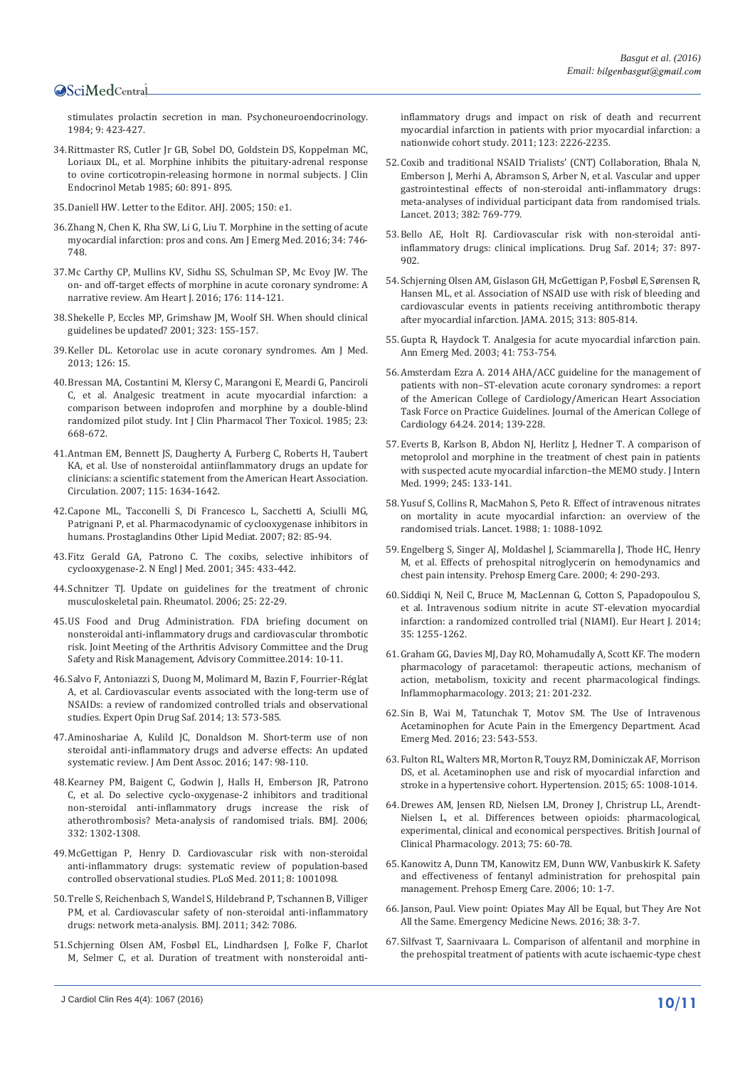[stimulates prolactin secretion in man. Psychoneuroendocrinology.](http://www.ncbi.nlm.nih.gov/pubmed/6514937)  [1984; 9: 423-427.](http://www.ncbi.nlm.nih.gov/pubmed/6514937)

- 34.[Rittmaster RS, Cutler Jr GB, Sobel DO, Goldstein DS, Koppelman MC,](http://www.ncbi.nlm.nih.gov/pubmed/2984235)  [Loriaux DL, et al. Morphine inhibits the pituitary-adrenal response](http://www.ncbi.nlm.nih.gov/pubmed/2984235)  [to ovine corticotropin-releasing hormone in normal subjects. J Clin](http://www.ncbi.nlm.nih.gov/pubmed/2984235)  [Endocrinol Metab 1985; 60: 891- 895.](http://www.ncbi.nlm.nih.gov/pubmed/2984235)
- 35.[Daniell HW. Letter to the Editor. AHJ. 2005; 150: e1.](http://www.ahjonline.com/article/S0002-8703(05)00803-3/references)
- 36.[Zhang N, Chen K, Rha SW, Li G, Liu T. Morphine in the setting of acute](http://www.ncbi.nlm.nih.gov/pubmed/26874396)  [myocardial infarction: pros and cons. Am J Emerg Med. 2016; 34: 746-](http://www.ncbi.nlm.nih.gov/pubmed/26874396) [748.](http://www.ncbi.nlm.nih.gov/pubmed/26874396)
- 37.[Mc Carthy CP, Mullins KV, Sidhu SS, Schulman SP, Mc Evoy JW. The](http://www.ncbi.nlm.nih.gov/pubmed/27264228)  [on- and off-target effects of morphine in acute coronary syndrome: A](http://www.ncbi.nlm.nih.gov/pubmed/27264228)  [narrative review. Am Heart J. 2016; 176: 114-121.](http://www.ncbi.nlm.nih.gov/pubmed/27264228)
- 38.[Shekelle P, Eccles MP, Grimshaw JM, Woolf SH. When should clinical](http://www.ncbi.nlm.nih.gov/pubmed/11463690)  [guidelines be updated? 2001; 323: 155-157.](http://www.ncbi.nlm.nih.gov/pubmed/11463690)
- 39.[Keller DL. Ketorolac use in acute coronary syndromes. Am J Med.](http://www.ncbi.nlm.nih.gov/pubmed/23582941)  [2013; 126: 15.](http://www.ncbi.nlm.nih.gov/pubmed/23582941)
- 40.[Bressan MA, Costantini M, Klersy C, Marangoni E, Meardi G, Panciroli](http://www.ncbi.nlm.nih.gov/pubmed/3912334)  [C, et al. Analgesic treatment in acute myocardial infarction: a](http://www.ncbi.nlm.nih.gov/pubmed/3912334)  [comparison between indoprofen and morphine by a double-blind](http://www.ncbi.nlm.nih.gov/pubmed/3912334)  [randomized pilot study. Int J Clin Pharmacol Ther Toxicol. 1985; 23:](http://www.ncbi.nlm.nih.gov/pubmed/3912334)  [668-672.](http://www.ncbi.nlm.nih.gov/pubmed/3912334)
- 41.[Antman EM, Bennett JS, Daugherty A, Furberg C, Roberts H, Taubert](http://www.ncbi.nlm.nih.gov/pubmed/17325246)  [KA, et al. Use of nonsteroidal antiinflammatory drugs an update for](http://www.ncbi.nlm.nih.gov/pubmed/17325246)  [clinicians: a scientific statement from the American Heart Association.](http://www.ncbi.nlm.nih.gov/pubmed/17325246)  [Circulation. 2007; 115: 1634-1642.](http://www.ncbi.nlm.nih.gov/pubmed/17325246)
- 42.[Capone ML, Tacconelli S, Di Francesco L, Sacchetti A, Sciulli MG,](http://www.ncbi.nlm.nih.gov/pubmed/17164136)  [Patrignani P, et al. Pharmacodynamic of cyclooxygenase inhibitors in](http://www.ncbi.nlm.nih.gov/pubmed/17164136)  [humans. Prostaglandins Other Lipid Mediat. 2007; 82: 85-94.](http://www.ncbi.nlm.nih.gov/pubmed/17164136)
- 43.[Fitz Gerald GA, Patrono C. The coxibs, selective inhibitors of](http://www.ncbi.nlm.nih.gov/pubmed/11496855)  [cyclooxygenase-2. N Engl J Med. 2001; 345: 433-442.](http://www.ncbi.nlm.nih.gov/pubmed/11496855)
- 44.[Schnitzer TJ. Update on guidelines for the treatment of chronic](http://www.ncbi.nlm.nih.gov/pubmed/16741783)  [musculoskeletal pain. Rheumatol. 2006; 25: 22-29.](http://www.ncbi.nlm.nih.gov/pubmed/16741783)
- 45.[US Food and Drug Administration. FDA briefing document on](http://www.fda.gov/downloads/AdvisoryCommittees/CommitteesMeetingMaterials/Drugs/ArthritisAdvisoryCommittee/UCM383180.pdf)  [nonsteroidal anti-inflammatory drugs and cardiovascular thrombotic](http://www.fda.gov/downloads/AdvisoryCommittees/CommitteesMeetingMaterials/Drugs/ArthritisAdvisoryCommittee/UCM383180.pdf)  [risk. Joint Meeting of the Arthritis Advisory Committee and the Drug](http://www.fda.gov/downloads/AdvisoryCommittees/CommitteesMeetingMaterials/Drugs/ArthritisAdvisoryCommittee/UCM383180.pdf)  [Safety and Risk Management, Advisory Committee.2014: 10-11.](http://www.fda.gov/downloads/AdvisoryCommittees/CommitteesMeetingMaterials/Drugs/ArthritisAdvisoryCommittee/UCM383180.pdf)
- 46.[Salvo F, Antoniazzi S, Duong M, Molimard M, Bazin F, Fourrier-Réglat](http://www.ncbi.nlm.nih.gov/pubmed/24697248)  [A, et al. Cardiovascular events associated with the long-term use of](http://www.ncbi.nlm.nih.gov/pubmed/24697248)  [NSAIDs: a review of randomized controlled trials and observational](http://www.ncbi.nlm.nih.gov/pubmed/24697248)  [studies. Expert Opin Drug Saf. 2014; 13: 573-585.](http://www.ncbi.nlm.nih.gov/pubmed/24697248)
- 47.[Aminoshariae A, Kulild JC, Donaldson M. Short-term use of non](http://www.ncbi.nlm.nih.gov/pubmed/26562732)  [steroidal anti-inflammatory drugs and adverse effects: An updated](http://www.ncbi.nlm.nih.gov/pubmed/26562732)  [systematic review. J Am Dent Assoc. 2016; 147: 98-110.](http://www.ncbi.nlm.nih.gov/pubmed/26562732)
- 48.[Kearney PM, Baigent C, Godwin J, Halls H, Emberson JR, Patrono](http://www.ncbi.nlm.nih.gov/pubmed/16740558)  [C, et al. Do selective cyclo-oxygenase-2 inhibitors and traditional](http://www.ncbi.nlm.nih.gov/pubmed/16740558)  [non-steroidal anti-inflammatory drugs increase the risk of](http://www.ncbi.nlm.nih.gov/pubmed/16740558)  [atherothrombosis? Meta-analysis of randomised trials. BMJ. 2006;](http://www.ncbi.nlm.nih.gov/pubmed/16740558)  [332: 1302-1308.](http://www.ncbi.nlm.nih.gov/pubmed/16740558)
- 49.[McGettigan P, Henry D. Cardiovascular risk with non-steroidal](http://www.ncbi.nlm.nih.gov/pubmed/21980265)  [anti-inflammatory drugs: systematic review of population-based](http://www.ncbi.nlm.nih.gov/pubmed/21980265)  [controlled observational studies. PLoS Med. 2011; 8: 1001098.](http://www.ncbi.nlm.nih.gov/pubmed/21980265)
- 50.[Trelle S, Reichenbach S, Wandel S, Hildebrand P, Tschannen B, Villiger](http://www.ncbi.nlm.nih.gov/pubmed/21224324)  [PM, et al. Cardiovascular safety of non-steroidal anti-inflammatory](http://www.ncbi.nlm.nih.gov/pubmed/21224324)  [drugs: network meta-analysis. BMJ. 2011; 342: 7086.](http://www.ncbi.nlm.nih.gov/pubmed/21224324)
- 51.[Schjerning Olsen AM, Fosbøl EL, Lindhardsen J, Folke F, Charlot](http://www.ncbi.nlm.nih.gov/pubmed/21555710)  [M, Selmer C, et al. Duration of treatment with nonsteroidal anti-](http://www.ncbi.nlm.nih.gov/pubmed/21555710)

[inflammatory drugs and impact on risk of death and recurrent](http://www.ncbi.nlm.nih.gov/pubmed/21555710)  [myocardial infarction in patients with prior myocardial infarction: a](http://www.ncbi.nlm.nih.gov/pubmed/21555710)  [nationwide cohort study. 2011; 123: 2226-2235.](http://www.ncbi.nlm.nih.gov/pubmed/21555710)

- 52.[Coxib and traditional NSAID Trialists' \(CNT\) Collaboration, Bhala N,](http://www.ncbi.nlm.nih.gov/pubmed/23726390)  [Emberson J, Merhi A, Abramson S, Arber N, et al. Vascular and upper](http://www.ncbi.nlm.nih.gov/pubmed/23726390)  [gastrointestinal effects of non-steroidal anti-inflammatory drugs:](http://www.ncbi.nlm.nih.gov/pubmed/23726390)  [meta-analyses of individual participant data from randomised trials.](http://www.ncbi.nlm.nih.gov/pubmed/23726390)  [Lancet. 2013; 382: 769-779.](http://www.ncbi.nlm.nih.gov/pubmed/23726390)
- 53.[Bello AE, Holt RJ. Cardiovascular risk with non-steroidal anti](http://www.ncbi.nlm.nih.gov/pubmed/25079141)[inflammatory drugs: clinical implications. Drug Saf. 2014; 37: 897-](http://www.ncbi.nlm.nih.gov/pubmed/25079141) [902.](http://www.ncbi.nlm.nih.gov/pubmed/25079141)
- 54.[Schjerning Olsen AM, Gislason GH, McGettigan P, Fosbøl E, Sørensen R,](http://www.ncbi.nlm.nih.gov/pubmed/25710657)  [Hansen ML, et al. Association of NSAID use with risk of bleeding and](http://www.ncbi.nlm.nih.gov/pubmed/25710657)  [cardiovascular events in patients receiving antithrombotic therapy](http://www.ncbi.nlm.nih.gov/pubmed/25710657)  [after myocardial infarction. JAMA. 2015; 313: 805-814.](http://www.ncbi.nlm.nih.gov/pubmed/25710657)
- 55.[Gupta R, Haydock T. Analgesia for acute myocardial infarction pain.](http://www.ncbi.nlm.nih.gov/pubmed/12744246)  [Ann Emerg Med. 2003; 41: 753-754.](http://www.ncbi.nlm.nih.gov/pubmed/12744246)
- 56.Amsterdam Ezra A. 2014 AHA/ACC guideline for the management of patients with non–ST-elevation acute coronary syndromes: a report of the American College of Cardiology/American Heart Association Task Force on Practice Guidelines. Journal of the American College of Cardiology 64.24. 2014; 139-228.
- 57.[Everts B, Karlson B, Abdon NJ, Herlitz J, Hedner T. A comparison of](http://www.ncbi.nlm.nih.gov/pubmed/10081516)  [metoprolol and morphine in the treatment of chest pain in patients](http://www.ncbi.nlm.nih.gov/pubmed/10081516)  [with suspected acute myocardial infarction–the MEMO study. J Intern](http://www.ncbi.nlm.nih.gov/pubmed/10081516)  [Med. 1999; 245: 133-141.](http://www.ncbi.nlm.nih.gov/pubmed/10081516)
- 58.[Yusuf S, Collins R, MacMahon S, Peto R. Effect of intravenous nitrates](http://www.ncbi.nlm.nih.gov/pubmed/2896919)  [on mortality in acute myocardial infarction: an overview of the](http://www.ncbi.nlm.nih.gov/pubmed/2896919)  [randomised trials. Lancet. 1988; 1: 1088-1092.](http://www.ncbi.nlm.nih.gov/pubmed/2896919)
- 59.[Engelberg S, Singer AJ, Moldashel J, Sciammarella J, Thode HC, Henry](http://www.ncbi.nlm.nih.gov/pubmed/11045405)  [M, et al. Effects of prehospital nitroglycerin on hemodynamics and](http://www.ncbi.nlm.nih.gov/pubmed/11045405)  [chest pain intensity. Prehosp Emerg Care. 2000; 4: 290-293.](http://www.ncbi.nlm.nih.gov/pubmed/11045405)
- 60.[Siddiqi N, Neil C, Bruce M, MacLennan G, Cotton S, Papadopoulou S,](http://www.ncbi.nlm.nih.gov/pubmed/24639423)  [et al. Intravenous sodium nitrite in acute ST-elevation myocardial](http://www.ncbi.nlm.nih.gov/pubmed/24639423)  [infarction: a randomized controlled trial \(NIAMI\). Eur Heart J. 2014;](http://www.ncbi.nlm.nih.gov/pubmed/24639423)  [35: 1255-1262.](http://www.ncbi.nlm.nih.gov/pubmed/24639423)
- 61.[Graham GG, Davies MJ, Day RO, Mohamudally A, Scott KF. The modern](http://www.ncbi.nlm.nih.gov/pubmed/23719833)  [pharmacology of paracetamol: therapeutic actions, mechanism of](http://www.ncbi.nlm.nih.gov/pubmed/23719833)  [action, metabolism, toxicity and recent pharmacological findings.](http://www.ncbi.nlm.nih.gov/pubmed/23719833)  [Inflammopharmacology. 2013; 21: 201-232.](http://www.ncbi.nlm.nih.gov/pubmed/23719833)
- 62.[Sin B, Wai M, Tatunchak T, Motov SM. The Use of Intravenous](http://www.ncbi.nlm.nih.gov/pubmed/26824905)  [Acetaminophen for Acute Pain in the Emergency Department. Acad](http://www.ncbi.nlm.nih.gov/pubmed/26824905)  [Emerg Med. 2016; 23: 543-553.](http://www.ncbi.nlm.nih.gov/pubmed/26824905)
- 63.[Fulton RL, Walters MR, Morton R, Touyz RM, Dominiczak AF, Morrison](http://www.ncbi.nlm.nih.gov/pubmed/25801870)  [DS, et al. Acetaminophen use and risk of myocardial infarction and](http://www.ncbi.nlm.nih.gov/pubmed/25801870)  [stroke in a hypertensive cohort. Hypertension. 2015; 65: 1008-1014.](http://www.ncbi.nlm.nih.gov/pubmed/25801870)
- 64.[Drewes AM, Jensen RD, Nielsen LM, Droney J, Christrup LL, Arendt-](http://www.ncbi.nlm.nih.gov/pubmed/22554450)[Nielsen L, et al. Differences between opioids: pharmacological,](http://www.ncbi.nlm.nih.gov/pubmed/22554450)  [experimental, clinical and economical perspectives. British Journal of](http://www.ncbi.nlm.nih.gov/pubmed/22554450)  [Clinical Pharmacology. 2013; 75: 60-78.](http://www.ncbi.nlm.nih.gov/pubmed/22554450)
- 65.[Kanowitz A, Dunn TM, Kanowitz EM, Dunn WW, Vanbuskirk K. Safety](http://www.ncbi.nlm.nih.gov/pubmed/16418084)  [and effectiveness of fentanyl administration for prehospital pain](http://www.ncbi.nlm.nih.gov/pubmed/16418084)  [management. Prehosp Emerg Care. 2006; 10: 1-7.](http://www.ncbi.nlm.nih.gov/pubmed/16418084)
- 66.[Janson, Paul. View point: Opiates May All be Equal, but They Are Not](http://journals.lww.com/em-news/Fulltext/2016/05000/Viewpoint__Opiates_May_All_be_Equal,_but_They_Are.17.aspx)  [All the Same. Emergency Medicine News. 2016; 38: 3-7.](http://journals.lww.com/em-news/Fulltext/2016/05000/Viewpoint__Opiates_May_All_be_Equal,_but_They_Are.17.aspx)
- 67.[Silfvast T, Saarnivaara L. Comparison of alfentanil and morphine in](http://www.ncbi.nlm.nih.gov/pubmed/11785593)  [the prehospital treatment of patients with acute ischaemic-type chest](http://www.ncbi.nlm.nih.gov/pubmed/11785593)

**<sup>10/11</sup>** J Cardiol Clin Res 4(4): 1067 (2016)